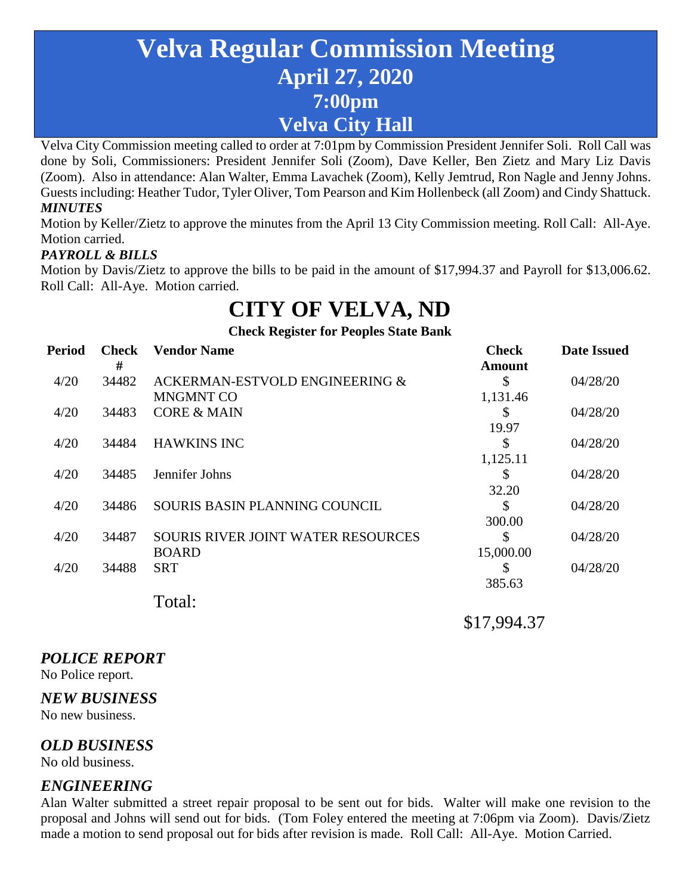# **Velva Regular Commission Meeting April 27, 2020 7:00pm Velva City Hall**

Velva City Commission meeting called to order at 7:01pm by Commission President Jennifer Soli. Roll Call was done by Soli, Commissioners: President Jennifer Soli (Zoom), Dave Keller, Ben Zietz and Mary Liz Davis (Zoom). Also in attendance: Alan Walter, Emma Lavachek (Zoom), Kelly Jemtrud, Ron Nagle and Jenny Johns. Guests including: Heather Tudor, Tyler Oliver, Tom Pearson and Kim Hollenbeck (all Zoom) and Cindy Shattuck. *MINUTES*

Motion by Keller/Zietz to approve the minutes from the April 13 City Commission meeting. Roll Call: All-Aye. Motion carried.

## *PAYROLL & BILLS*

Motion by Davis/Zietz to approve the bills to be paid in the amount of \$17,994.37 and Payroll for \$13,006.62. Roll Call: All-Aye. Motion carried.

# **CITY OF VELVA, ND**

**Check Register for Peoples State Bank**

| Period | <b>Check</b><br># | <b>Vendor Name</b>                        | <b>Check</b><br>Amount | <b>Date Issued</b> |
|--------|-------------------|-------------------------------------------|------------------------|--------------------|
| 4/20   | 34482             | ACKERMAN-ESTVOLD ENGINEERING &            | \$                     | 04/28/20           |
|        |                   | <b>MNGMNT CO</b>                          | 1,131.46               |                    |
| 4/20   | 34483             | <b>CORE &amp; MAIN</b>                    | \$                     | 04/28/20           |
|        |                   |                                           | 19.97                  |                    |
| 4/20   | 34484             | <b>HAWKINS INC</b>                        | \$                     | 04/28/20           |
|        |                   |                                           | 1,125.11               |                    |
| 4/20   | 34485             | Jennifer Johns                            | \$                     | 04/28/20           |
|        |                   |                                           | 32.20                  |                    |
| 4/20   | 34486             | SOURIS BASIN PLANNING COUNCIL             | \$                     | 04/28/20           |
|        |                   |                                           | 300.00                 |                    |
| 4/20   | 34487             | <b>SOURIS RIVER JOINT WATER RESOURCES</b> | S                      | 04/28/20           |
|        |                   | <b>BOARD</b>                              | 15,000.00              |                    |
| 4/20   | 34488             | <b>SRT</b>                                | S                      | 04/28/20           |
|        |                   |                                           | 385.63                 |                    |
|        |                   | Total:                                    |                        |                    |

\$17,994.37

## *POLICE REPORT*

No Police report.

#### *NEW BUSINESS*

No new business.

#### *OLD BUSINESS*

No old business.

## *ENGINEERING*

Alan Walter submitted a street repair proposal to be sent out for bids. Walter will make one revision to the proposal and Johns will send out for bids. (Tom Foley entered the meeting at 7:06pm via Zoom). Davis/Zietz made a motion to send proposal out for bids after revision is made. Roll Call: All-Aye. Motion Carried.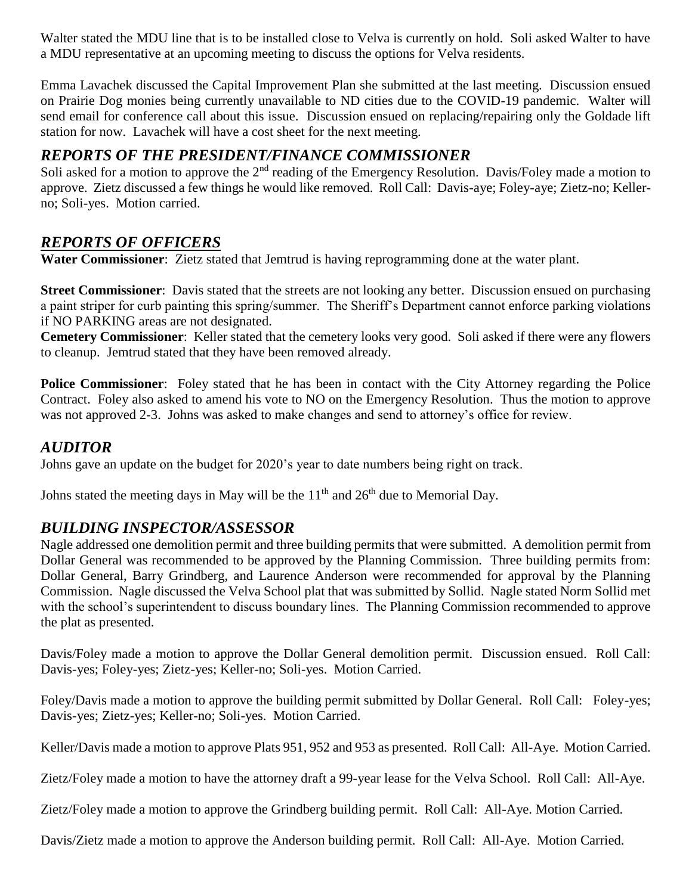Walter stated the MDU line that is to be installed close to Velva is currently on hold. Soli asked Walter to have a MDU representative at an upcoming meeting to discuss the options for Velva residents.

Emma Lavachek discussed the Capital Improvement Plan she submitted at the last meeting. Discussion ensued on Prairie Dog monies being currently unavailable to ND cities due to the COVID-19 pandemic. Walter will send email for conference call about this issue. Discussion ensued on replacing/repairing only the Goldade lift station for now. Lavachek will have a cost sheet for the next meeting.

## *REPORTS OF THE PRESIDENT/FINANCE COMMISSIONER*

Soli asked for a motion to approve the 2<sup>nd</sup> reading of the Emergency Resolution. Davis/Foley made a motion to approve. Zietz discussed a few things he would like removed. Roll Call: Davis-aye; Foley-aye; Zietz-no; Kellerno; Soli-yes. Motion carried.

## *REPORTS OF OFFICERS*

**Water Commissioner**: Zietz stated that Jemtrud is having reprogramming done at the water plant.

**Street Commissioner**: Davis stated that the streets are not looking any better. Discussion ensued on purchasing a paint striper for curb painting this spring/summer. The Sheriff's Department cannot enforce parking violations if NO PARKING areas are not designated.

**Cemetery Commissioner**: Keller stated that the cemetery looks very good. Soli asked if there were any flowers to cleanup. Jemtrud stated that they have been removed already.

**Police Commissioner**: Foley stated that he has been in contact with the City Attorney regarding the Police Contract. Foley also asked to amend his vote to NO on the Emergency Resolution. Thus the motion to approve was not approved 2-3. Johns was asked to make changes and send to attorney's office for review.

### *AUDITOR*

Johns gave an update on the budget for 2020's year to date numbers being right on track.

Johns stated the meeting days in May will be the  $11<sup>th</sup>$  and  $26<sup>th</sup>$  due to Memorial Day.

## *BUILDING INSPECTOR/ASSESSOR*

Nagle addressed one demolition permit and three building permits that were submitted. A demolition permit from Dollar General was recommended to be approved by the Planning Commission. Three building permits from: Dollar General, Barry Grindberg, and Laurence Anderson were recommended for approval by the Planning Commission. Nagle discussed the Velva School plat that was submitted by Sollid. Nagle stated Norm Sollid met with the school's superintendent to discuss boundary lines. The Planning Commission recommended to approve the plat as presented.

Davis/Foley made a motion to approve the Dollar General demolition permit. Discussion ensued. Roll Call: Davis-yes; Foley-yes; Zietz-yes; Keller-no; Soli-yes. Motion Carried.

Foley/Davis made a motion to approve the building permit submitted by Dollar General. Roll Call: Foley-yes; Davis-yes; Zietz-yes; Keller-no; Soli-yes. Motion Carried.

Keller/Davis made a motion to approve Plats 951, 952 and 953 as presented. Roll Call: All-Aye. Motion Carried.

Zietz/Foley made a motion to have the attorney draft a 99-year lease for the Velva School. Roll Call: All-Aye.

Zietz/Foley made a motion to approve the Grindberg building permit. Roll Call: All-Aye. Motion Carried.

Davis/Zietz made a motion to approve the Anderson building permit. Roll Call: All-Aye. Motion Carried.